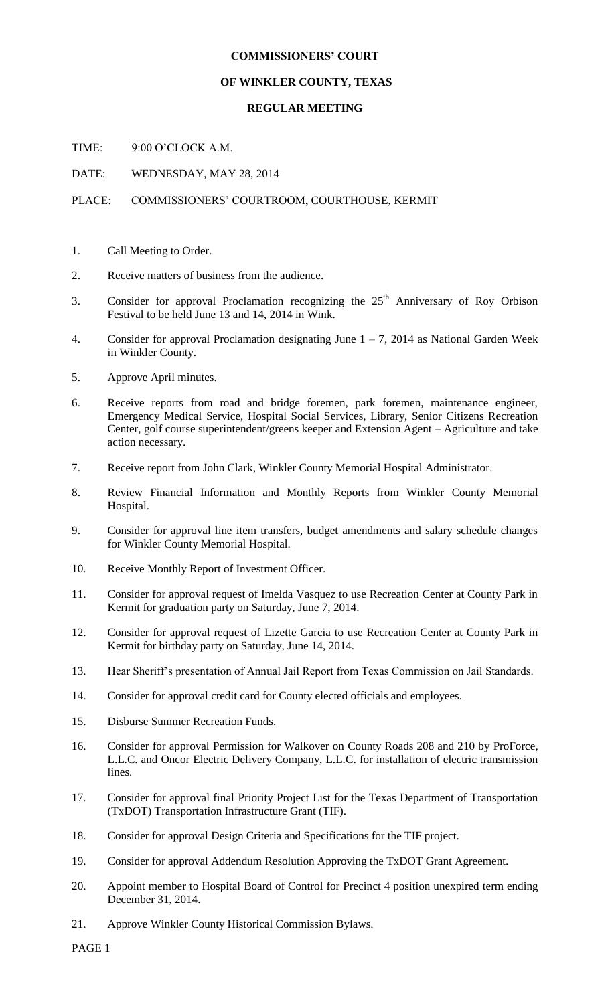## **COMMISSIONERS' COURT**

## **OF WINKLER COUNTY, TEXAS**

## **REGULAR MEETING**

TIME: 9:00 O'CLOCK A.M.

DATE: WEDNESDAY, MAY 28, 2014

## PLACE: COMMISSIONERS' COURTROOM, COURTHOUSE, KERMIT

- 1. Call Meeting to Order.
- 2. Receive matters of business from the audience.
- 3. Consider for approval Proclamation recognizing the  $25<sup>th</sup>$  Anniversary of Roy Orbison Festival to be held June 13 and 14, 2014 in Wink.
- 4. Consider for approval Proclamation designating June  $1 7$ , 2014 as National Garden Week in Winkler County.
- 5. Approve April minutes.
- 6. Receive reports from road and bridge foremen, park foremen, maintenance engineer, Emergency Medical Service, Hospital Social Services, Library, Senior Citizens Recreation Center, golf course superintendent/greens keeper and Extension Agent – Agriculture and take action necessary.
- 7. Receive report from John Clark, Winkler County Memorial Hospital Administrator.
- 8. Review Financial Information and Monthly Reports from Winkler County Memorial Hospital.
- 9. Consider for approval line item transfers, budget amendments and salary schedule changes for Winkler County Memorial Hospital.
- 10. Receive Monthly Report of Investment Officer.
- 11. Consider for approval request of Imelda Vasquez to use Recreation Center at County Park in Kermit for graduation party on Saturday, June 7, 2014.
- 12. Consider for approval request of Lizette Garcia to use Recreation Center at County Park in Kermit for birthday party on Saturday, June 14, 2014.
- 13. Hear Sheriff's presentation of Annual Jail Report from Texas Commission on Jail Standards.
- 14. Consider for approval credit card for County elected officials and employees.
- 15. Disburse Summer Recreation Funds.
- 16. Consider for approval Permission for Walkover on County Roads 208 and 210 by ProForce, L.L.C. and Oncor Electric Delivery Company, L.L.C. for installation of electric transmission lines.
- 17. Consider for approval final Priority Project List for the Texas Department of Transportation (TxDOT) Transportation Infrastructure Grant (TIF).
- 18. Consider for approval Design Criteria and Specifications for the TIF project.
- 19. Consider for approval Addendum Resolution Approving the TxDOT Grant Agreement.
- 20. Appoint member to Hospital Board of Control for Precinct 4 position unexpired term ending December 31, 2014.
- 21. Approve Winkler County Historical Commission Bylaws.

PAGE 1